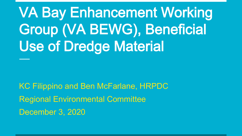VA Bay Enhancement Working Group (VA BEWG), Beneficial Use of Dredge Material

KC Filippino and Ben McFarlane, HRPDC Regional Environmental Committee December 3, 2020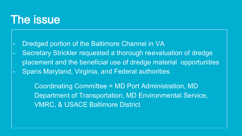### The issue

- Dredged portion of the Baltimore Channel in VA

- Secretary Strickler requested a thorough reevaluation of dredge placement and the beneficial use of dredge material opportunities
- Spans Maryland, Virginia, and Federal authorities

Coordinating Committee = MD Port Administration, MD Department of Transportation, MD Environmental Service, VMRC, & USACE Baltimore District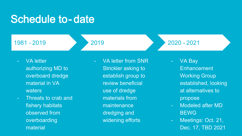#### Schedule to-date

1981 - 2019



- VA letter authorizing MD to overboard dredge material in VA waters
- Threats to crab and fishery habitats observed from overboarding material

VA letter from SNR Strickler asking to establish group to review beneficial use of dredge materials from maintenance dredging and widening efforts

- VA Bay **Enhancement** Working Group established, looking at alternatives to propose

2020 - 2021

- Modeled after MD BEWG
- Meetings: Oct. 21, Dec. 17, TBD 2021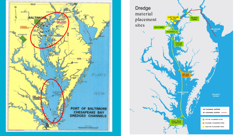

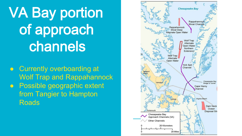VA Bay portion of approach channels

● Currently overboarding at Wolf Trap and Rappahannock ● Possible geographic extent from Tangier to Hampton **Roads** 

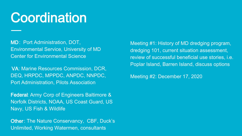## **Coordination**

MD: Port Administration, DOT, Environmental Service, University of MD Center for Environmental Science

VA: Marine Resources Commission, DCR, DEQ, HRPDC, MPPDC, ANPDC, NNPDC, Port Administration, Pilots Association

Federal: Army Corp of Engineers Baltimore & Norfolk Districts, NOAA, US Coast Guard, US Navy, US Fish & Wildlife

Other: The Nature Conservancy, CBF, Duck's Unlimited, Working Watermen, consultants

Meeting #1: History of MD dredging program, dredging 101, current situation assessment, review of successful beneficial use stories, i.e. Poplar Island, Barren Island, discuss options

Meeting #2: December 17, 2020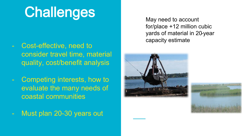## **Challenges**

- Cost-effective, need to consider travel time, material quality, cost/benefit analysis
- Competing interests, how to evaluate the many needs of coastal communities
- Must plan 20-30 years out

May need to account for/place +12 million cubic yards of material in 20-year capacity estimate